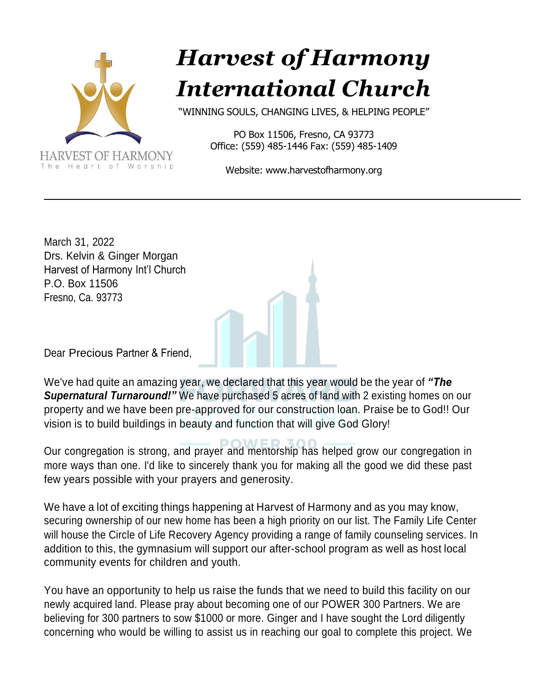

## *Harvest of Harmony International Church*

"WINNING SOULS, CHANGING LIVES, & HELPING PEOPLE"

PO Box 11506, Fresno, CA 93773 Office: (559) 485-1446 Fax: (559) 485-1409

Website: [www.harvestofharmony.org](http://www.harvestofharmony.org/)

March 31, 2022 Drs. Kelvin & Ginger Morgan Harvest of Harmony Int'l Church P.O. Box 11506 Fresno, Ca. 93773

Dear Precious Partner & Friend,

We've had quite an amazing year, we declared that this year would be the year of *"The Supernatural Turnaround!"* We have purchased 5 acres of land with 2 existing homes on our property and we have been pre-approved for our construction loan. Praise be to God!! Our vision is to build buildings in beauty and function that will give God Glory!

Our congregation is strong, and prayer and mentorship has helped grow our congregation in more ways than one. I'd like to sincerely thank you for making all the good we did these past few years possible with your prayers and generosity.

We have a lot of exciting things happening at Harvest of Harmony and as you may know, securing ownership of our new home has been a high priority on our list. The Family Life Center will house the Circle of Life Recovery Agency providing a range of family counseling services. In addition to this, the gymnasium will support our after-school program as well as host local community events for children and youth.

You have an opportunity to help us raise the funds that we need to build this facility on our newly acquired land. Please pray about becoming one of our POWER 300 Partners. We are believing for 300 partners to sow \$1000 or more. Ginger and I have sought the Lord diligently concerning who would be willing to assist us in reaching our goal to complete this project. We